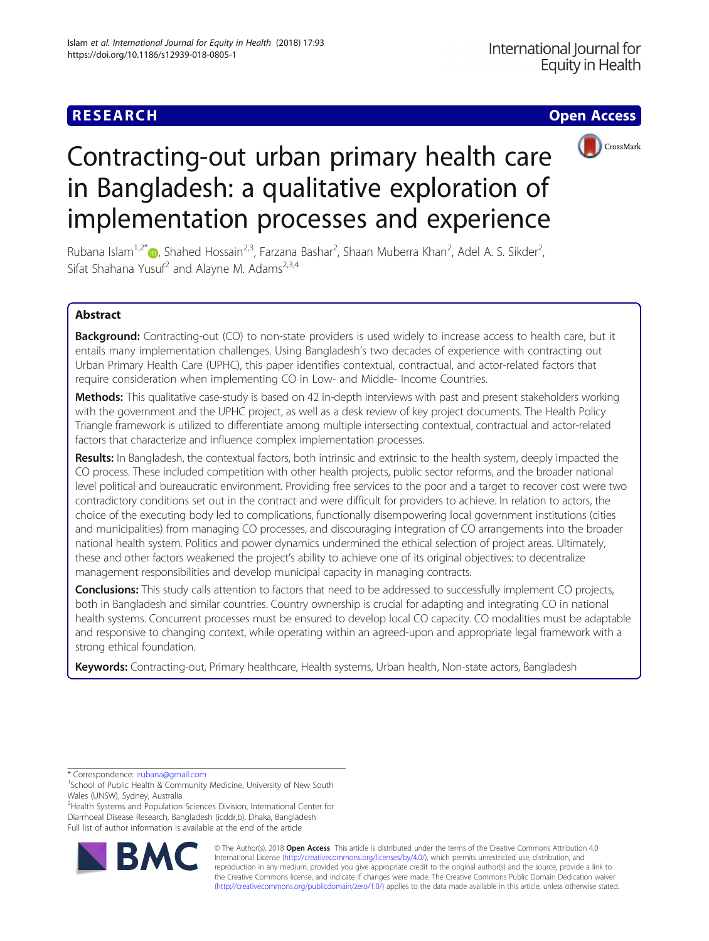## **RESEARCH CHE Open Access**



# Contracting-out urban primary health care in Bangladesh: a qualitative exploration of implementation processes and experience

Rubana Islam<sup>1,2[\\*](http://orcid.org/0000-0002-9538-5390)</sup> (@, Shahed Hossain<sup>2,3</sup>, Farzana Bashar<sup>2</sup>, Shaan Muberra Khan<sup>2</sup>, Adel A. S. Sikder<sup>2</sup> , Sifat Shahana Yusuf<sup>2</sup> and Alayne M. Adams<sup>2,3,4</sup>

## Abstract

Background: Contracting-out (CO) to non-state providers is used widely to increase access to health care, but it entails many implementation challenges. Using Bangladesh's two decades of experience with contracting out Urban Primary Health Care (UPHC), this paper identifies contextual, contractual, and actor-related factors that require consideration when implementing CO in Low- and Middle- Income Countries.

Methods: This qualitative case-study is based on 42 in-depth interviews with past and present stakeholders working with the government and the UPHC project, as well as a desk review of key project documents. The Health Policy Triangle framework is utilized to differentiate among multiple intersecting contextual, contractual and actor-related factors that characterize and influence complex implementation processes.

Results: In Bangladesh, the contextual factors, both intrinsic and extrinsic to the health system, deeply impacted the CO process. These included competition with other health projects, public sector reforms, and the broader national level political and bureaucratic environment. Providing free services to the poor and a target to recover cost were two contradictory conditions set out in the contract and were difficult for providers to achieve. In relation to actors, the choice of the executing body led to complications, functionally disempowering local government institutions (cities and municipalities) from managing CO processes, and discouraging integration of CO arrangements into the broader national health system. Politics and power dynamics undermined the ethical selection of project areas. Ultimately, these and other factors weakened the project's ability to achieve one of its original objectives: to decentralize management responsibilities and develop municipal capacity in managing contracts.

Conclusions: This study calls attention to factors that need to be addressed to successfully implement CO projects, both in Bangladesh and similar countries. Country ownership is crucial for adapting and integrating CO in national health systems. Concurrent processes must be ensured to develop local CO capacity. CO modalities must be adaptable and responsive to changing context, while operating within an agreed-upon and appropriate legal framework with a strong ethical foundation.

Keywords: Contracting-out, Primary healthcare, Health systems, Urban health, Non-state actors, Bangladesh

\* Correspondence: [irubana@gmail.com](mailto:irubana@gmail.com) <sup>1</sup>

<sup>2</sup> Health Systems and Population Sciences Division, International Center for Diarrhoeal Disease Research, Bangladesh (icddr,b), Dhaka, Bangladesh Full list of author information is available at the end of the article



© The Author(s). 2018 Open Access This article is distributed under the terms of the Creative Commons Attribution 4.0 International License [\(http://creativecommons.org/licenses/by/4.0/](http://creativecommons.org/licenses/by/4.0/)), which permits unrestricted use, distribution, and reproduction in any medium, provided you give appropriate credit to the original author(s) and the source, provide a link to the Creative Commons license, and indicate if changes were made. The Creative Commons Public Domain Dedication waiver [\(http://creativecommons.org/publicdomain/zero/1.0/](http://creativecommons.org/publicdomain/zero/1.0/)) applies to the data made available in this article, unless otherwise stated.

<sup>&</sup>lt;sup>1</sup> School of Public Health & Community Medicine, University of New South Wales (UNSW), Sydney, Australia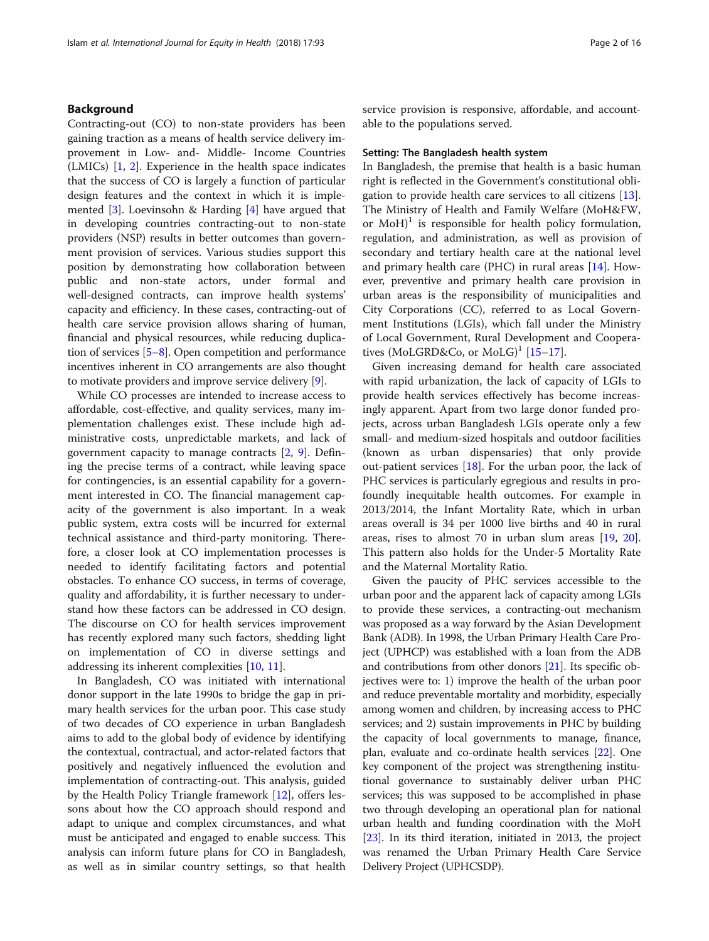## Background

Contracting-out (CO) to non-state providers has been gaining traction as a means of health service delivery improvement in Low- and- Middle- Income Countries (LMICs) [\[1](#page-14-0), [2](#page-14-0)]. Experience in the health space indicates that the success of CO is largely a function of particular design features and the context in which it is implemented [\[3](#page-14-0)]. Loevinsohn & Harding [[4\]](#page-14-0) have argued that in developing countries contracting-out to non-state providers (NSP) results in better outcomes than government provision of services. Various studies support this position by demonstrating how collaboration between public and non-state actors, under formal and well-designed contracts, can improve health systems' capacity and efficiency. In these cases, contracting-out of health care service provision allows sharing of human, financial and physical resources, while reducing duplication of services [[5](#page-14-0)–[8](#page-14-0)]. Open competition and performance incentives inherent in CO arrangements are also thought to motivate providers and improve service delivery [[9](#page-14-0)].

While CO processes are intended to increase access to affordable, cost-effective, and quality services, many implementation challenges exist. These include high administrative costs, unpredictable markets, and lack of government capacity to manage contracts [\[2](#page-14-0), [9](#page-14-0)]. Defining the precise terms of a contract, while leaving space for contingencies, is an essential capability for a government interested in CO. The financial management capacity of the government is also important. In a weak public system, extra costs will be incurred for external technical assistance and third-party monitoring. Therefore, a closer look at CO implementation processes is needed to identify facilitating factors and potential obstacles. To enhance CO success, in terms of coverage, quality and affordability, it is further necessary to understand how these factors can be addressed in CO design. The discourse on CO for health services improvement has recently explored many such factors, shedding light on implementation of CO in diverse settings and addressing its inherent complexities [[10,](#page-14-0) [11\]](#page-14-0).

In Bangladesh, CO was initiated with international donor support in the late 1990s to bridge the gap in primary health services for the urban poor. This case study of two decades of CO experience in urban Bangladesh aims to add to the global body of evidence by identifying the contextual, contractual, and actor-related factors that positively and negatively influenced the evolution and implementation of contracting-out. This analysis, guided by the Health Policy Triangle framework [[12\]](#page-14-0), offers lessons about how the CO approach should respond and adapt to unique and complex circumstances, and what must be anticipated and engaged to enable success. This analysis can inform future plans for CO in Bangladesh, as well as in similar country settings, so that health service provision is responsive, affordable, and accountable to the populations served.

#### Setting: The Bangladesh health system

In Bangladesh, the premise that health is a basic human right is reflected in the Government's constitutional obligation to provide health care services to all citizens [\[13](#page-14-0)]. The Ministry of Health and Family Welfare (MoH&FW, or  $M o H$ <sup>1</sup> is responsible for health policy formulation, regulation, and administration, as well as provision of secondary and tertiary health care at the national level and primary health care (PHC) in rural areas [\[14\]](#page-14-0). However, preventive and primary health care provision in urban areas is the responsibility of municipalities and City Corporations (CC), referred to as Local Government Institutions (LGIs), which fall under the Ministry of Local Government, Rural Development and Coopera-tives (MoLGRD&Co, or MoLG)<sup>1</sup> [\[15](#page-14-0)–[17\]](#page-14-0).

Given increasing demand for health care associated with rapid urbanization, the lack of capacity of LGIs to provide health services effectively has become increasingly apparent. Apart from two large donor funded projects, across urban Bangladesh LGIs operate only a few small- and medium-sized hospitals and outdoor facilities (known as urban dispensaries) that only provide out-patient services  $[18]$  $[18]$ . For the urban poor, the lack of PHC services is particularly egregious and results in profoundly inequitable health outcomes. For example in 2013/2014, the Infant Mortality Rate, which in urban areas overall is 34 per 1000 live births and 40 in rural areas, rises to almost 70 in urban slum areas [[19,](#page-14-0) [20](#page-14-0)]. This pattern also holds for the Under-5 Mortality Rate and the Maternal Mortality Ratio.

Given the paucity of PHC services accessible to the urban poor and the apparent lack of capacity among LGIs to provide these services, a contracting-out mechanism was proposed as a way forward by the Asian Development Bank (ADB). In 1998, the Urban Primary Health Care Project (UPHCP) was established with a loan from the ADB and contributions from other donors [[21](#page-14-0)]. Its specific objectives were to: 1) improve the health of the urban poor and reduce preventable mortality and morbidity, especially among women and children, by increasing access to PHC services; and 2) sustain improvements in PHC by building the capacity of local governments to manage, finance, plan, evaluate and co-ordinate health services [\[22\]](#page-14-0). One key component of the project was strengthening institutional governance to sustainably deliver urban PHC services; this was supposed to be accomplished in phase two through developing an operational plan for national urban health and funding coordination with the MoH [[23](#page-14-0)]. In its third iteration, initiated in 2013, the project was renamed the Urban Primary Health Care Service Delivery Project (UPHCSDP).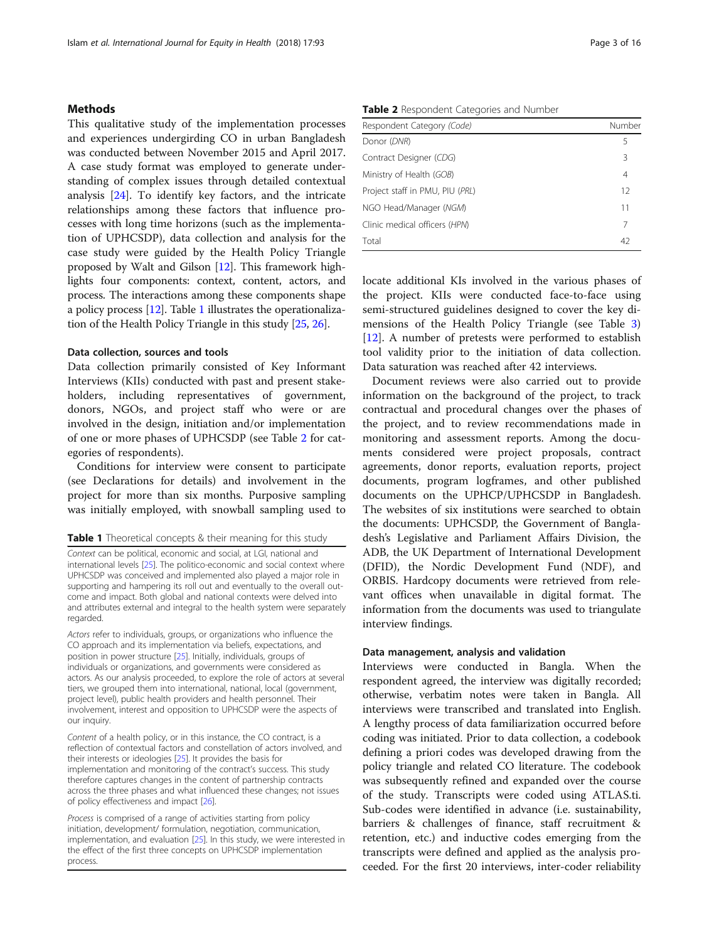## Methods

This qualitative study of the implementation processes and experiences undergirding CO in urban Bangladesh was conducted between November 2015 and April 2017. A case study format was employed to generate understanding of complex issues through detailed contextual analysis [[24\]](#page-14-0). To identify key factors, and the intricate relationships among these factors that influence processes with long time horizons (such as the implementation of UPHCSDP), data collection and analysis for the case study were guided by the Health Policy Triangle proposed by Walt and Gilson [[12](#page-14-0)]. This framework highlights four components: context, content, actors, and process. The interactions among these components shape a policy process [\[12](#page-14-0)]. Table 1 illustrates the operationalization of the Health Policy Triangle in this study [\[25,](#page-14-0) [26\]](#page-14-0).

#### Data collection, sources and tools

Data collection primarily consisted of Key Informant Interviews (KIIs) conducted with past and present stakeholders, including representatives of government, donors, NGOs, and project staff who were or are involved in the design, initiation and/or implementation of one or more phases of UPHCSDP (see Table 2 for categories of respondents).

Conditions for interview were consent to participate (see Declarations for details) and involvement in the project for more than six months. Purposive sampling was initially employed, with snowball sampling used to

#### Table 1 Theoretical concepts & their meaning for this study

Context can be political, economic and social, at LGI, national and international levels [\[25\]](#page-14-0). The politico-economic and social context where UPHCSDP was conceived and implemented also played a major role in supporting and hampering its roll out and eventually to the overall outcome and impact. Both global and national contexts were delved into and attributes external and integral to the health system were separately regarded.

Actors refer to individuals, groups, or organizations who influence the CO approach and its implementation via beliefs, expectations, and position in power structure [\[25](#page-14-0)]. Initially, individuals, groups of individuals or organizations, and governments were considered as actors. As our analysis proceeded, to explore the role of actors at several tiers, we grouped them into international, national, local (government, project level), public health providers and health personnel. Their involvement, interest and opposition to UPHCSDP were the aspects of our inquiry.

Content of a health policy, or in this instance, the CO contract, is a reflection of contextual factors and constellation of actors involved, and their interests or ideologies [[25](#page-14-0)]. It provides the basis for implementation and monitoring of the contract's success. This study therefore captures changes in the content of partnership contracts across the three phases and what influenced these changes; not issues of policy effectiveness and impact [[26](#page-14-0)].

Process is comprised of a range of activities starting from policy initiation, development/ formulation, negotiation, communication, implementation, and evaluation [\[25\]](#page-14-0). In this study, we were interested in the effect of the first three concepts on UPHCSDP implementation process.

Table 2 Respondent Categories and Number

| Respondent Category (Code)      | Number         |
|---------------------------------|----------------|
| Donor (DNR)                     | 5              |
| Contract Designer (CDG)         | 3              |
| Ministry of Health (GOB)        | $\overline{4}$ |
| Project staff in PMU, PIU (PRL) | 12             |
| NGO Head/Manager (NGM)          | 11             |
| Clinic medical officers (HPN)   | 7              |
| Total                           | 42             |

locate additional KIs involved in the various phases of the project. KIIs were conducted face-to-face using semi-structured guidelines designed to cover the key dimensions of the Health Policy Triangle (see Table [3](#page-3-0)) [[12\]](#page-14-0). A number of pretests were performed to establish tool validity prior to the initiation of data collection. Data saturation was reached after 42 interviews.

Document reviews were also carried out to provide information on the background of the project, to track contractual and procedural changes over the phases of the project, and to review recommendations made in monitoring and assessment reports. Among the documents considered were project proposals, contract agreements, donor reports, evaluation reports, project documents, program logframes, and other published documents on the UPHCP/UPHCSDP in Bangladesh. The websites of six institutions were searched to obtain the documents: UPHCSDP, the Government of Bangladesh's Legislative and Parliament Affairs Division, the ADB, the UK Department of International Development (DFID), the Nordic Development Fund (NDF), and ORBIS. Hardcopy documents were retrieved from relevant offices when unavailable in digital format. The information from the documents was used to triangulate interview findings.

## Data management, analysis and validation

Interviews were conducted in Bangla. When the respondent agreed, the interview was digitally recorded; otherwise, verbatim notes were taken in Bangla. All interviews were transcribed and translated into English. A lengthy process of data familiarization occurred before coding was initiated. Prior to data collection, a codebook defining a priori codes was developed drawing from the policy triangle and related CO literature. The codebook was subsequently refined and expanded over the course of the study. Transcripts were coded using ATLAS.ti. Sub-codes were identified in advance (i.e. sustainability, barriers & challenges of finance, staff recruitment & retention, etc.) and inductive codes emerging from the transcripts were defined and applied as the analysis proceeded. For the first 20 interviews, inter-coder reliability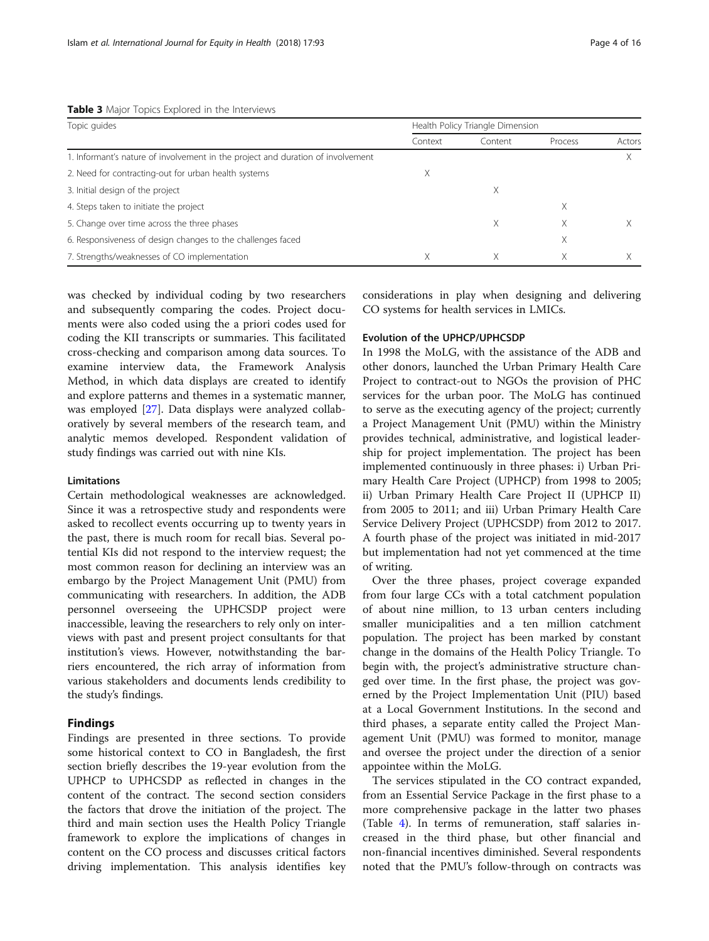<span id="page-3-0"></span>

| Topic quides                                                                    | Health Policy Triangle Dimension |         |         |        |
|---------------------------------------------------------------------------------|----------------------------------|---------|---------|--------|
|                                                                                 | Context                          | Content | Process | Actors |
| 1. Informant's nature of involvement in the project and duration of involvement |                                  |         |         |        |
| 2. Need for contracting-out for urban health systems                            |                                  |         |         |        |
| 3. Initial design of the project                                                |                                  | Χ       |         |        |
| 4. Steps taken to initiate the project                                          |                                  |         | Χ       |        |
| 5. Change over time across the three phases                                     |                                  | X       | X       |        |
| 6. Responsiveness of design changes to the challenges faced                     |                                  |         | X       |        |
| 7. Strengths/weaknesses of CO implementation                                    | X                                | х       | X       |        |

was checked by individual coding by two researchers and subsequently comparing the codes. Project documents were also coded using the a priori codes used for coding the KII transcripts or summaries. This facilitated cross-checking and comparison among data sources. To examine interview data, the Framework Analysis Method, in which data displays are created to identify and explore patterns and themes in a systematic manner, was employed [\[27](#page-14-0)]. Data displays were analyzed collaboratively by several members of the research team, and analytic memos developed. Respondent validation of study findings was carried out with nine KIs.

## Limitations

Certain methodological weaknesses are acknowledged. Since it was a retrospective study and respondents were asked to recollect events occurring up to twenty years in the past, there is much room for recall bias. Several potential KIs did not respond to the interview request; the most common reason for declining an interview was an embargo by the Project Management Unit (PMU) from communicating with researchers. In addition, the ADB personnel overseeing the UPHCSDP project were inaccessible, leaving the researchers to rely only on interviews with past and present project consultants for that institution's views. However, notwithstanding the barriers encountered, the rich array of information from various stakeholders and documents lends credibility to the study's findings.

#### Findings

Findings are presented in three sections. To provide some historical context to CO in Bangladesh, the first section briefly describes the 19-year evolution from the UPHCP to UPHCSDP as reflected in changes in the content of the contract. The second section considers the factors that drove the initiation of the project. The third and main section uses the Health Policy Triangle framework to explore the implications of changes in content on the CO process and discusses critical factors driving implementation. This analysis identifies key considerations in play when designing and delivering CO systems for health services in LMICs.

## Evolution of the UPHCP/UPHCSDP

In 1998 the MoLG, with the assistance of the ADB and other donors, launched the Urban Primary Health Care Project to contract-out to NGOs the provision of PHC services for the urban poor. The MoLG has continued to serve as the executing agency of the project; currently a Project Management Unit (PMU) within the Ministry provides technical, administrative, and logistical leadership for project implementation. The project has been implemented continuously in three phases: i) Urban Primary Health Care Project (UPHCP) from 1998 to 2005; ii) Urban Primary Health Care Project II (UPHCP II) from 2005 to 2011; and iii) Urban Primary Health Care Service Delivery Project (UPHCSDP) from 2012 to 2017. A fourth phase of the project was initiated in mid-2017 but implementation had not yet commenced at the time of writing.

Over the three phases, project coverage expanded from four large CCs with a total catchment population of about nine million, to 13 urban centers including smaller municipalities and a ten million catchment population. The project has been marked by constant change in the domains of the Health Policy Triangle. To begin with, the project's administrative structure changed over time. In the first phase, the project was governed by the Project Implementation Unit (PIU) based at a Local Government Institutions. In the second and third phases, a separate entity called the Project Management Unit (PMU) was formed to monitor, manage and oversee the project under the direction of a senior appointee within the MoLG.

The services stipulated in the CO contract expanded, from an Essential Service Package in the first phase to a more comprehensive package in the latter two phases (Table [4](#page-4-0)). In terms of remuneration, staff salaries increased in the third phase, but other financial and non-financial incentives diminished. Several respondents noted that the PMU's follow-through on contracts was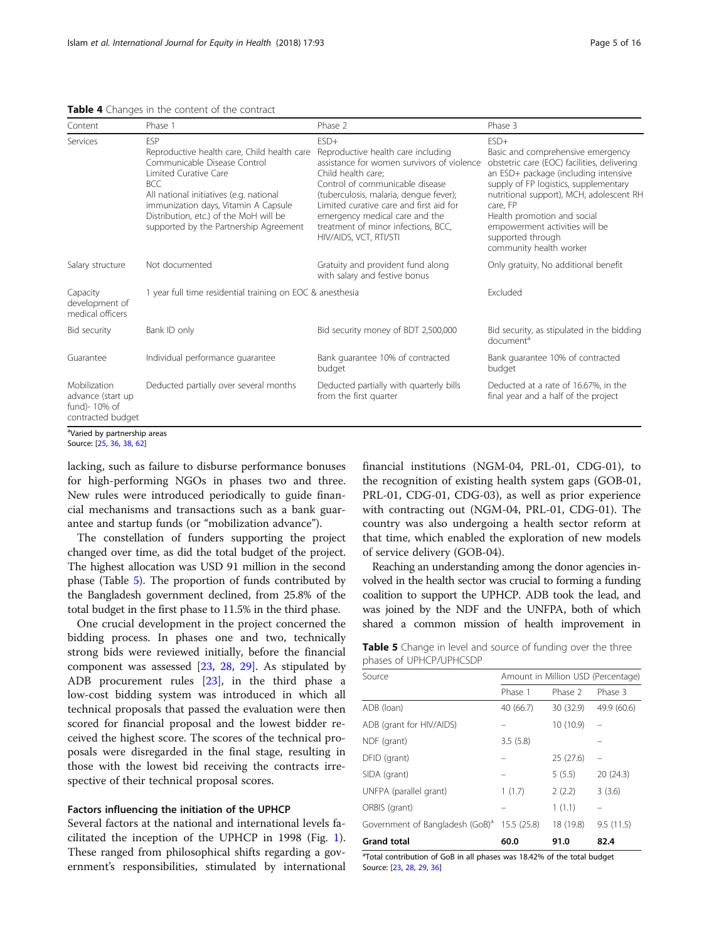<span id="page-4-0"></span>Table 4 Changes in the content of the contract

| Content                                                                 | Phase 1                                                                                                                                                                                                                                                                                           | Phase 2                                                                                                                                                                                                                                                                                                                                   | Phase 3                                                                                                                                                                                                                                                                                                                                              |
|-------------------------------------------------------------------------|---------------------------------------------------------------------------------------------------------------------------------------------------------------------------------------------------------------------------------------------------------------------------------------------------|-------------------------------------------------------------------------------------------------------------------------------------------------------------------------------------------------------------------------------------------------------------------------------------------------------------------------------------------|------------------------------------------------------------------------------------------------------------------------------------------------------------------------------------------------------------------------------------------------------------------------------------------------------------------------------------------------------|
| Services                                                                | <b>ESP</b><br>Reproductive health care, Child health care<br>Communicable Disease Control<br>Limited Curative Care<br>BCC.<br>All national initiatives (e.g. national<br>immunization days, Vitamin A Capsule<br>Distribution, etc.) of the MoH will be<br>supported by the Partnership Agreement | ESD+<br>Reproductive health care including<br>assistance for women survivors of violence<br>Child health care;<br>Control of communicable disease<br>(tuberculosis, malaria, dengue fever);<br>Limited curative care and first aid for<br>emergency medical care and the<br>treatment of minor infections, BCC,<br>HIV/AIDS, VCT, RTI/STI | $ESD+$<br>Basic and comprehensive emergency<br>obstetric care (EOC) facilities, delivering<br>an ESD+ package (including intensive<br>supply of FP logistics, supplementary<br>nutritional support), MCH, adolescent RH<br>care, FP<br>Health promotion and social<br>empowerment activities will be<br>supported through<br>community health worker |
| Salary structure                                                        | Not documented                                                                                                                                                                                                                                                                                    | Gratuity and provident fund along<br>with salary and festive bonus                                                                                                                                                                                                                                                                        | Only gratuity, No additional benefit                                                                                                                                                                                                                                                                                                                 |
| Capacity<br>development of<br>medical officers                          | 1 year full time residential training on EOC & anesthesia                                                                                                                                                                                                                                         |                                                                                                                                                                                                                                                                                                                                           | <b>Fxcluded</b>                                                                                                                                                                                                                                                                                                                                      |
| Bid security                                                            | Bank ID only                                                                                                                                                                                                                                                                                      | Bid security money of BDT 2,500,000                                                                                                                                                                                                                                                                                                       | Bid security, as stipulated in the bidding<br>document <sup>a</sup>                                                                                                                                                                                                                                                                                  |
| Guarantee                                                               | Individual performance quarantee                                                                                                                                                                                                                                                                  | Bank guarantee 10% of contracted<br>budget                                                                                                                                                                                                                                                                                                | Bank guarantee 10% of contracted<br>budget                                                                                                                                                                                                                                                                                                           |
| Mobilization<br>advance (start up<br>fund)- 10% of<br>contracted budget | Deducted partially over several months                                                                                                                                                                                                                                                            | Deducted partially with quarterly bills<br>from the first quarter                                                                                                                                                                                                                                                                         | Deducted at a rate of 16.67%, in the<br>final year and a half of the project                                                                                                                                                                                                                                                                         |

<sup>a</sup>Varied by partnership areas Source: [\[25](#page-14-0), [36,](#page-15-0) [38,](#page-15-0) [62](#page-15-0)]

lacking, such as failure to disburse performance bonuses for high-performing NGOs in phases two and three. New rules were introduced periodically to guide financial mechanisms and transactions such as a bank guarantee and startup funds (or "mobilization advance").

The constellation of funders supporting the project changed over time, as did the total budget of the project. The highest allocation was USD 91 million in the second phase (Table 5). The proportion of funds contributed by the Bangladesh government declined, from 25.8% of the total budget in the first phase to 11.5% in the third phase.

One crucial development in the project concerned the bidding process. In phases one and two, technically strong bids were reviewed initially, before the financial component was assessed [[23](#page-14-0), [28,](#page-14-0) [29](#page-14-0)]. As stipulated by ADB procurement rules [[23\]](#page-14-0), in the third phase a low-cost bidding system was introduced in which all technical proposals that passed the evaluation were then scored for financial proposal and the lowest bidder received the highest score. The scores of the technical proposals were disregarded in the final stage, resulting in those with the lowest bid receiving the contracts irrespective of their technical proposal scores.

## Factors influencing the initiation of the UPHCP

Several factors at the national and international levels facilitated the inception of the UPHCP in 1998 (Fig. [1](#page-5-0)). These ranged from philosophical shifts regarding a government's responsibilities, stimulated by international

financial institutions (NGM-04, PRL-01, CDG-01), to the recognition of existing health system gaps (GOB-01, PRL-01, CDG-01, CDG-03), as well as prior experience with contracting out (NGM-04, PRL-01, CDG-01). The country was also undergoing a health sector reform at that time, which enabled the exploration of new models of service delivery (GOB-04).

Reaching an understanding among the donor agencies involved in the health sector was crucial to forming a funding coalition to support the UPHCP. ADB took the lead, and was joined by the NDF and the UNFPA, both of which shared a common mission of health improvement in

| <b>Table 5</b> Change in level and source of funding over the three |  |  |  |  |
|---------------------------------------------------------------------|--|--|--|--|
| phases of UPHCP/UPHCSDP                                             |  |  |  |  |

| Source                                      | Amount in Million USD (Percentage) |           |             |  |  |  |
|---------------------------------------------|------------------------------------|-----------|-------------|--|--|--|
|                                             | Phase 1                            | Phase 2   | Phase 3     |  |  |  |
| ADB (loan)                                  | 40 (66.7)                          | 30 (32.9) | 49.9 (60.6) |  |  |  |
| ADB (grant for HIV/AIDS)                    |                                    | 10 (10.9) |             |  |  |  |
| NDF (grant)                                 | 3.5(5.8)                           |           |             |  |  |  |
| DFID (grant)                                |                                    | 25(27.6)  |             |  |  |  |
| SIDA (grant)                                |                                    | 5(5.5)    | 20(24.3)    |  |  |  |
| UNFPA (parallel grant)                      | 1(1.7)                             | 2(2.2)    | 3(3.6)      |  |  |  |
| ORBIS (grant)                               |                                    | 1(1.1)    |             |  |  |  |
| Government of Bangladesh (GoB) <sup>a</sup> | 15.5(25.8)                         | 18 (19.8) | 9.5(11.5)   |  |  |  |
| <b>Grand total</b>                          | 60.0                               | 91.0      | 82.4        |  |  |  |

<sup>a</sup>Total contribution of GoB in all phases was 18.42% of the total budget Source: [\[23](#page-14-0), [28,](#page-14-0) [29,](#page-14-0) [36](#page-15-0)]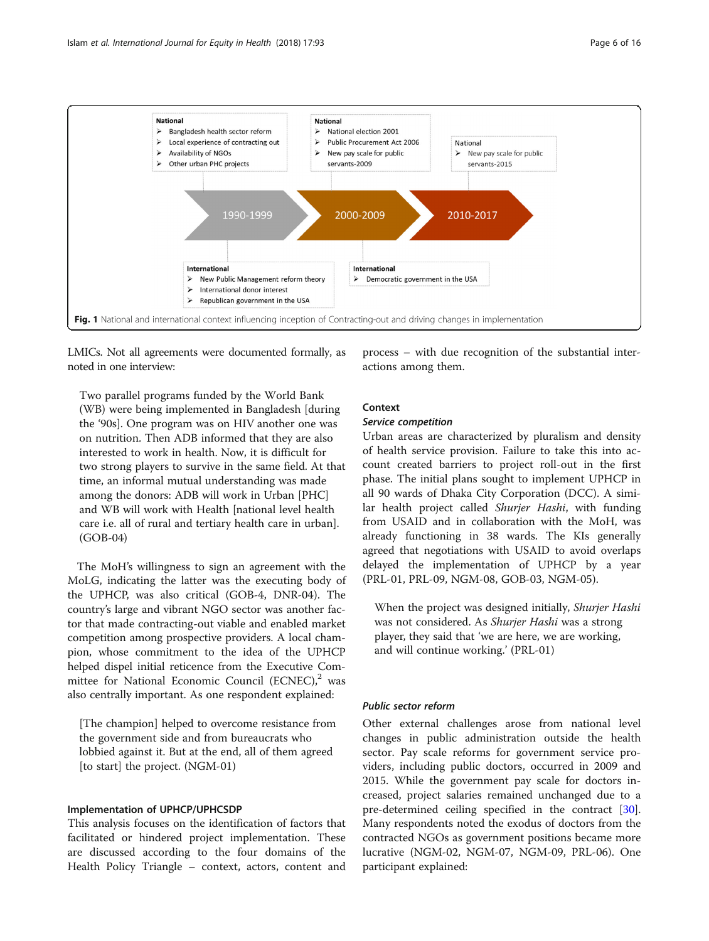

<span id="page-5-0"></span>

LMICs. Not all agreements were documented formally, as noted in one interview:

Two parallel programs funded by the World Bank (WB) were being implemented in Bangladesh [during the '90s]. One program was on HIV another one was on nutrition. Then ADB informed that they are also interested to work in health. Now, it is difficult for two strong players to survive in the same field. At that time, an informal mutual understanding was made among the donors: ADB will work in Urban [PHC] and WB will work with Health [national level health care i.e. all of rural and tertiary health care in urban]. (GOB-04)

The MoH's willingness to sign an agreement with the MoLG, indicating the latter was the executing body of the UPHCP, was also critical (GOB-4, DNR-04). The country's large and vibrant NGO sector was another factor that made contracting-out viable and enabled market competition among prospective providers. A local champion, whose commitment to the idea of the UPHCP helped dispel initial reticence from the Executive Committee for National Economic Council (ECNEC), $^2$  was also centrally important. As one respondent explained:

[The champion] helped to overcome resistance from the government side and from bureaucrats who lobbied against it. But at the end, all of them agreed [to start] the project. (NGM-01)

## Implementation of UPHCP/UPHCSDP

This analysis focuses on the identification of factors that facilitated or hindered project implementation. These are discussed according to the four domains of the Health Policy Triangle – context, actors, content and process – with due recognition of the substantial interactions among them.

## Context

#### Service competition

Urban areas are characterized by pluralism and density of health service provision. Failure to take this into account created barriers to project roll-out in the first phase. The initial plans sought to implement UPHCP in all 90 wards of Dhaka City Corporation (DCC). A similar health project called *Shurjer Hashi*, with funding from USAID and in collaboration with the MoH, was already functioning in 38 wards. The KIs generally agreed that negotiations with USAID to avoid overlaps delayed the implementation of UPHCP by a year (PRL-01, PRL-09, NGM-08, GOB-03, NGM-05).

When the project was designed initially, Shurjer Hashi was not considered. As Shurjer Hashi was a strong player, they said that 'we are here, we are working, and will continue working.' (PRL-01)

## Public sector reform

Other external challenges arose from national level changes in public administration outside the health sector. Pay scale reforms for government service providers, including public doctors, occurred in 2009 and 2015. While the government pay scale for doctors increased, project salaries remained unchanged due to a pre-determined ceiling specified in the contract [\[30](#page-14-0)]. Many respondents noted the exodus of doctors from the contracted NGOs as government positions became more lucrative (NGM-02, NGM-07, NGM-09, PRL-06). One participant explained: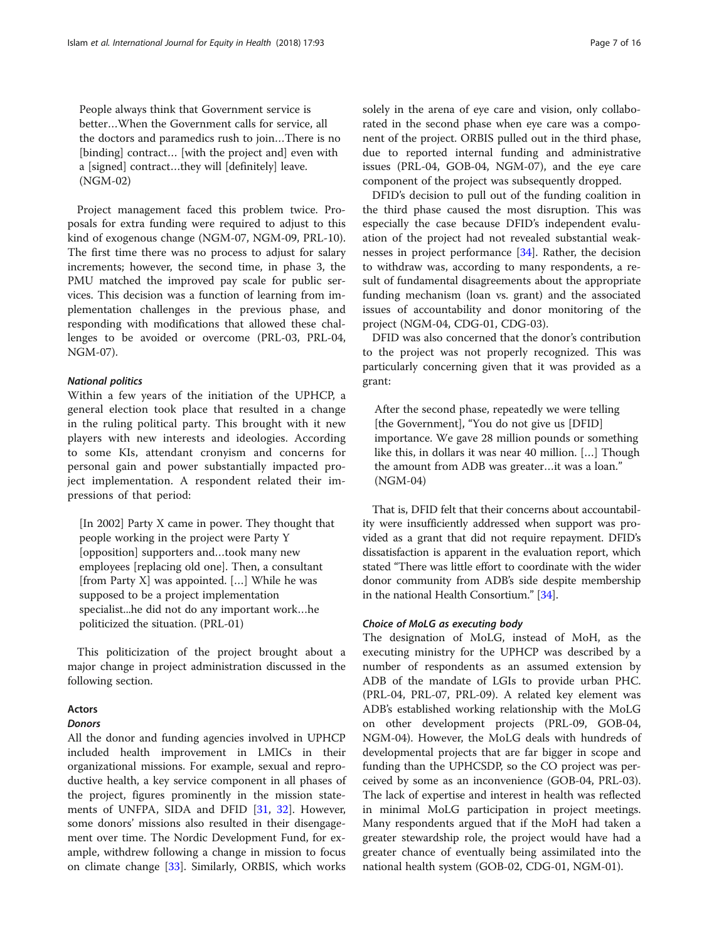People always think that Government service is better…When the Government calls for service, all the doctors and paramedics rush to join…There is no [binding] contract... [with the project and] even with a [signed] contract…they will [definitely] leave. (NGM-02)

Project management faced this problem twice. Proposals for extra funding were required to adjust to this kind of exogenous change (NGM-07, NGM-09, PRL-10). The first time there was no process to adjust for salary increments; however, the second time, in phase 3, the PMU matched the improved pay scale for public services. This decision was a function of learning from implementation challenges in the previous phase, and responding with modifications that allowed these challenges to be avoided or overcome (PRL-03, PRL-04, NGM-07).

## National politics

Within a few years of the initiation of the UPHCP, a general election took place that resulted in a change in the ruling political party. This brought with it new players with new interests and ideologies. According to some KIs, attendant cronyism and concerns for personal gain and power substantially impacted project implementation. A respondent related their impressions of that period:

[In 2002] Party X came in power. They thought that people working in the project were Party Y [opposition] supporters and…took many new employees [replacing old one]. Then, a consultant [from Party X] was appointed. […] While he was supposed to be a project implementation specialist...he did not do any important work…he politicized the situation. (PRL-01)

This politicization of the project brought about a major change in project administration discussed in the following section.

## Actors

## Donors

All the donor and funding agencies involved in UPHCP included health improvement in LMICs in their organizational missions. For example, sexual and reproductive health, a key service component in all phases of the project, figures prominently in the mission statements of UNFPA, SIDA and DFID [[31,](#page-14-0) [32](#page-14-0)]. However, some donors' missions also resulted in their disengagement over time. The Nordic Development Fund, for example, withdrew following a change in mission to focus on climate change [[33](#page-14-0)]. Similarly, ORBIS, which works solely in the arena of eye care and vision, only collaborated in the second phase when eye care was a component of the project. ORBIS pulled out in the third phase, due to reported internal funding and administrative issues (PRL-04, GOB-04, NGM-07), and the eye care component of the project was subsequently dropped.

DFID's decision to pull out of the funding coalition in the third phase caused the most disruption. This was especially the case because DFID's independent evaluation of the project had not revealed substantial weaknesses in project performance [[34\]](#page-14-0). Rather, the decision to withdraw was, according to many respondents, a result of fundamental disagreements about the appropriate funding mechanism (loan vs. grant) and the associated issues of accountability and donor monitoring of the project (NGM-04, CDG-01, CDG-03).

DFID was also concerned that the donor's contribution to the project was not properly recognized. This was particularly concerning given that it was provided as a grant:

After the second phase, repeatedly we were telling [the Government], "You do not give us [DFID] importance. We gave 28 million pounds or something like this, in dollars it was near 40 million. […] Though the amount from ADB was greater…it was a loan." (NGM-04)

That is, DFID felt that their concerns about accountability were insufficiently addressed when support was provided as a grant that did not require repayment. DFID's dissatisfaction is apparent in the evaluation report, which stated "There was little effort to coordinate with the wider donor community from ADB's side despite membership in the national Health Consortium." [\[34\]](#page-14-0).

## Choice of MoLG as executing body

The designation of MoLG, instead of MoH, as the executing ministry for the UPHCP was described by a number of respondents as an assumed extension by ADB of the mandate of LGIs to provide urban PHC. (PRL-04, PRL-07, PRL-09). A related key element was ADB's established working relationship with the MoLG on other development projects (PRL-09, GOB-04, NGM-04). However, the MoLG deals with hundreds of developmental projects that are far bigger in scope and funding than the UPHCSDP, so the CO project was perceived by some as an inconvenience (GOB-04, PRL-03). The lack of expertise and interest in health was reflected in minimal MoLG participation in project meetings. Many respondents argued that if the MoH had taken a greater stewardship role, the project would have had a greater chance of eventually being assimilated into the national health system (GOB-02, CDG-01, NGM-01).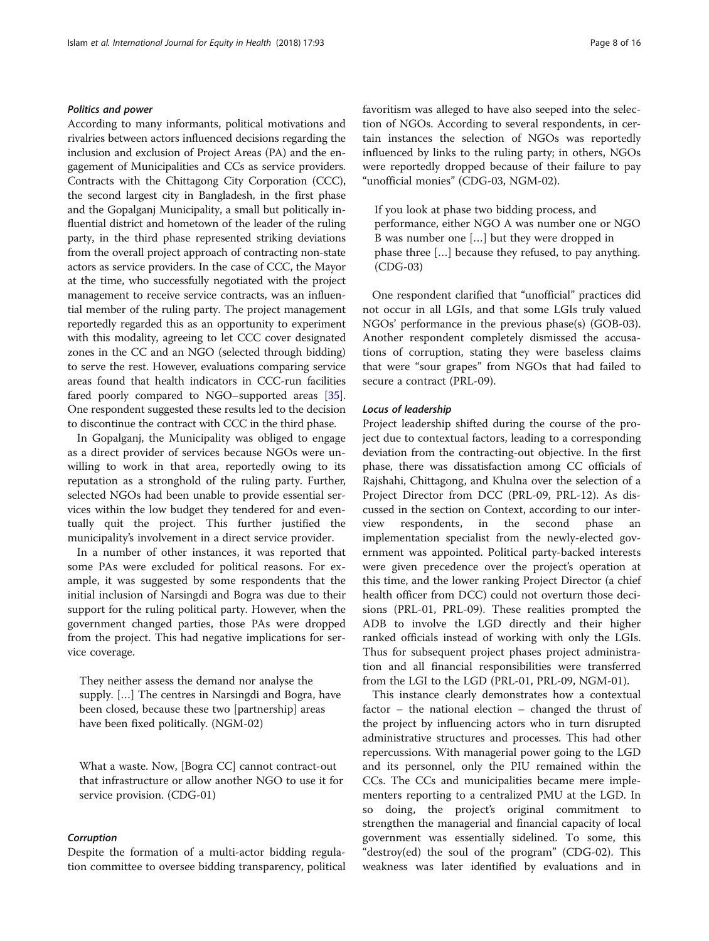## Politics and power

According to many informants, political motivations and rivalries between actors influenced decisions regarding the inclusion and exclusion of Project Areas (PA) and the engagement of Municipalities and CCs as service providers. Contracts with the Chittagong City Corporation (CCC), the second largest city in Bangladesh, in the first phase and the Gopalganj Municipality, a small but politically influential district and hometown of the leader of the ruling party, in the third phase represented striking deviations from the overall project approach of contracting non-state actors as service providers. In the case of CCC, the Mayor at the time, who successfully negotiated with the project management to receive service contracts, was an influential member of the ruling party. The project management reportedly regarded this as an opportunity to experiment with this modality, agreeing to let CCC cover designated zones in the CC and an NGO (selected through bidding) to serve the rest. However, evaluations comparing service areas found that health indicators in CCC-run facilities fared poorly compared to NGO–supported areas [[35](#page-15-0)]. One respondent suggested these results led to the decision to discontinue the contract with CCC in the third phase.

In Gopalganj, the Municipality was obliged to engage as a direct provider of services because NGOs were unwilling to work in that area, reportedly owing to its reputation as a stronghold of the ruling party. Further, selected NGOs had been unable to provide essential services within the low budget they tendered for and eventually quit the project. This further justified the municipality's involvement in a direct service provider.

In a number of other instances, it was reported that some PAs were excluded for political reasons. For example, it was suggested by some respondents that the initial inclusion of Narsingdi and Bogra was due to their support for the ruling political party. However, when the government changed parties, those PAs were dropped from the project. This had negative implications for service coverage.

They neither assess the demand nor analyse the supply. […] The centres in Narsingdi and Bogra, have been closed, because these two [partnership] areas have been fixed politically. (NGM-02)

What a waste. Now, [Bogra CC] cannot contract-out that infrastructure or allow another NGO to use it for service provision. (CDG-01)

#### Corruption

Despite the formation of a multi-actor bidding regulation committee to oversee bidding transparency, political favoritism was alleged to have also seeped into the selection of NGOs. According to several respondents, in certain instances the selection of NGOs was reportedly influenced by links to the ruling party; in others, NGOs were reportedly dropped because of their failure to pay "unofficial monies" (CDG-03, NGM-02).

If you look at phase two bidding process, and performance, either NGO A was number one or NGO B was number one […] but they were dropped in phase three […] because they refused, to pay anything. (CDG-03)

One respondent clarified that "unofficial" practices did not occur in all LGIs, and that some LGIs truly valued NGOs' performance in the previous phase(s) (GOB-03). Another respondent completely dismissed the accusations of corruption, stating they were baseless claims that were "sour grapes" from NGOs that had failed to secure a contract (PRL-09).

#### Locus of leadership

Project leadership shifted during the course of the project due to contextual factors, leading to a corresponding deviation from the contracting-out objective. In the first phase, there was dissatisfaction among CC officials of Rajshahi, Chittagong, and Khulna over the selection of a Project Director from DCC (PRL-09, PRL-12). As discussed in the section on Context, according to our interview respondents, in the second phase an implementation specialist from the newly-elected government was appointed. Political party-backed interests were given precedence over the project's operation at this time, and the lower ranking Project Director (a chief health officer from DCC) could not overturn those decisions (PRL-01, PRL-09). These realities prompted the ADB to involve the LGD directly and their higher ranked officials instead of working with only the LGIs. Thus for subsequent project phases project administration and all financial responsibilities were transferred from the LGI to the LGD (PRL-01, PRL-09, NGM-01).

This instance clearly demonstrates how a contextual factor – the national election – changed the thrust of the project by influencing actors who in turn disrupted administrative structures and processes. This had other repercussions. With managerial power going to the LGD and its personnel, only the PIU remained within the CCs. The CCs and municipalities became mere implementers reporting to a centralized PMU at the LGD. In so doing, the project's original commitment to strengthen the managerial and financial capacity of local government was essentially sidelined. To some, this "destroy(ed) the soul of the program" (CDG-02). This weakness was later identified by evaluations and in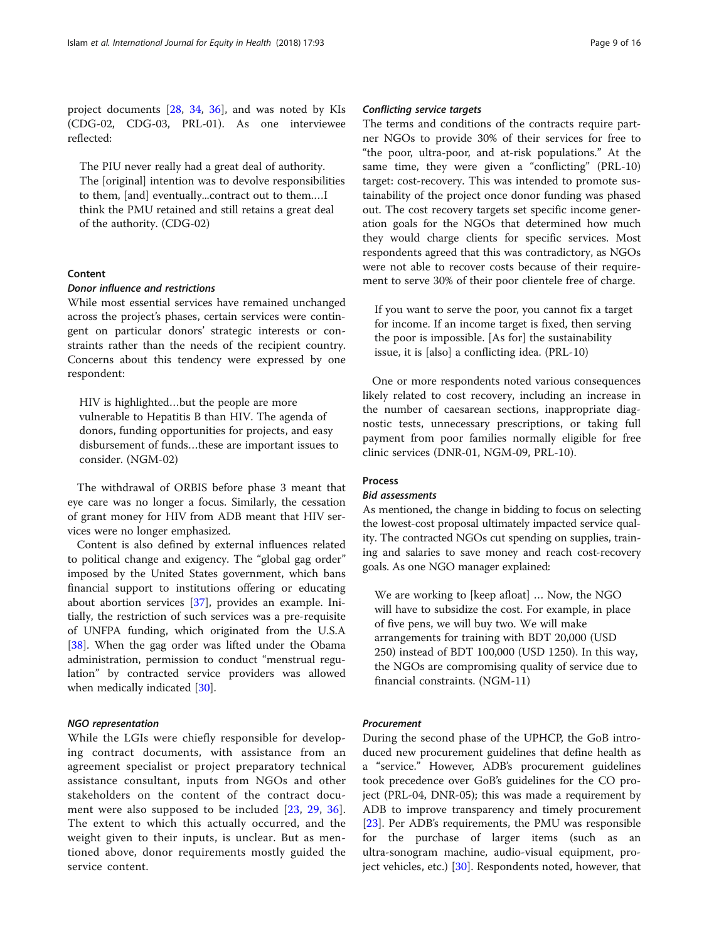project documents [[28,](#page-14-0) [34](#page-14-0), [36\]](#page-15-0), and was noted by KIs (CDG-02, CDG-03, PRL-01). As one interviewee reflected:

The PIU never really had a great deal of authority. The [original] intention was to devolve responsibilities to them, [and] eventually...contract out to them.…I think the PMU retained and still retains a great deal of the authority. (CDG-02)

## Content

## Donor influence and restrictions

While most essential services have remained unchanged across the project's phases, certain services were contingent on particular donors' strategic interests or constraints rather than the needs of the recipient country. Concerns about this tendency were expressed by one respondent:

HIV is highlighted…but the people are more vulnerable to Hepatitis B than HIV. The agenda of donors, funding opportunities for projects, and easy disbursement of funds…these are important issues to consider. (NGM-02)

The withdrawal of ORBIS before phase 3 meant that eye care was no longer a focus. Similarly, the cessation of grant money for HIV from ADB meant that HIV services were no longer emphasized.

Content is also defined by external influences related to political change and exigency. The "global gag order" imposed by the United States government, which bans financial support to institutions offering or educating about abortion services [[37](#page-15-0)], provides an example. Initially, the restriction of such services was a pre-requisite of UNFPA funding, which originated from the U.S.A [[38\]](#page-15-0). When the gag order was lifted under the Obama administration, permission to conduct "menstrual regulation" by contracted service providers was allowed when medically indicated [[30](#page-14-0)].

## NGO representation

While the LGIs were chiefly responsible for developing contract documents, with assistance from an agreement specialist or project preparatory technical assistance consultant, inputs from NGOs and other stakeholders on the content of the contract document were also supposed to be included [[23,](#page-14-0) [29](#page-14-0), [36](#page-15-0)]. The extent to which this actually occurred, and the weight given to their inputs, is unclear. But as mentioned above, donor requirements mostly guided the service content.

## Conflicting service targets

The terms and conditions of the contracts require partner NGOs to provide 30% of their services for free to "the poor, ultra-poor, and at-risk populations." At the same time, they were given a "conflicting" (PRL-10) target: cost-recovery. This was intended to promote sustainability of the project once donor funding was phased out. The cost recovery targets set specific income generation goals for the NGOs that determined how much they would charge clients for specific services. Most respondents agreed that this was contradictory, as NGOs were not able to recover costs because of their requirement to serve 30% of their poor clientele free of charge.

If you want to serve the poor, you cannot fix a target for income. If an income target is fixed, then serving the poor is impossible. [As for] the sustainability issue, it is [also] a conflicting idea. (PRL-10)

One or more respondents noted various consequences likely related to cost recovery, including an increase in the number of caesarean sections, inappropriate diagnostic tests, unnecessary prescriptions, or taking full payment from poor families normally eligible for free clinic services (DNR-01, NGM-09, PRL-10).

## Process

#### Bid assessments

As mentioned, the change in bidding to focus on selecting the lowest-cost proposal ultimately impacted service quality. The contracted NGOs cut spending on supplies, training and salaries to save money and reach cost-recovery goals. As one NGO manager explained:

We are working to [keep afloat] … Now, the NGO will have to subsidize the cost. For example, in place of five pens, we will buy two. We will make arrangements for training with BDT 20,000 (USD 250) instead of BDT 100,000 (USD 1250). In this way, the NGOs are compromising quality of service due to financial constraints. (NGM-11)

#### **Procurement**

During the second phase of the UPHCP, the GoB introduced new procurement guidelines that define health as a "service." However, ADB's procurement guidelines took precedence over GoB's guidelines for the CO project (PRL-04, DNR-05); this was made a requirement by ADB to improve transparency and timely procurement [[23\]](#page-14-0). Per ADB's requirements, the PMU was responsible for the purchase of larger items (such as an ultra-sonogram machine, audio-visual equipment, project vehicles, etc.) [[30](#page-14-0)]. Respondents noted, however, that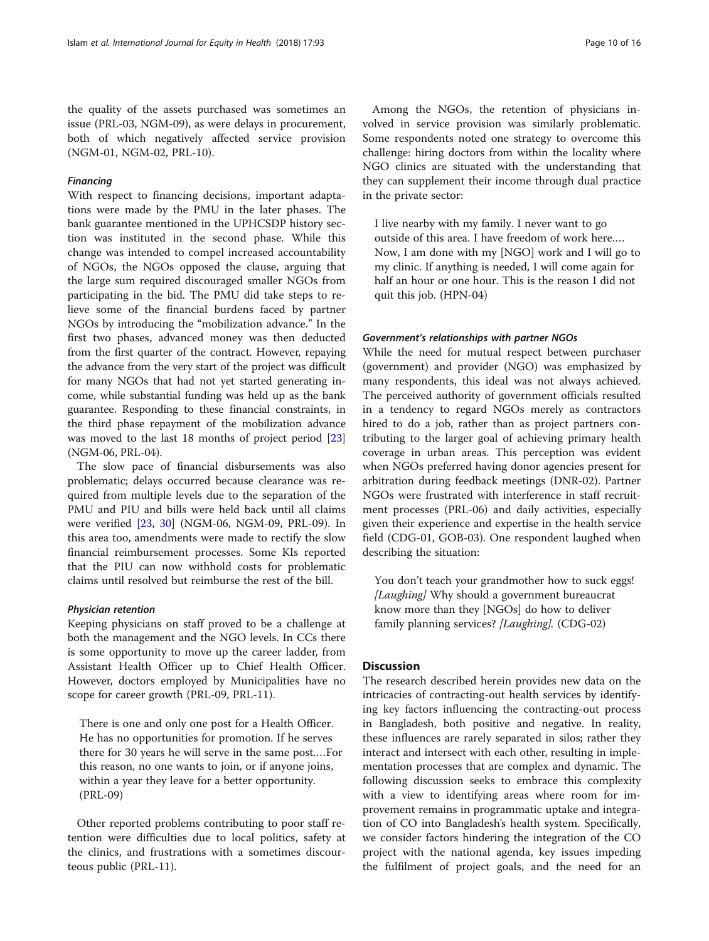the quality of the assets purchased was sometimes an issue (PRL-03, NGM-09), as were delays in procurement, both of which negatively affected service provision (NGM-01, NGM-02, PRL-10).

## Financing

With respect to financing decisions, important adaptations were made by the PMU in the later phases. The bank guarantee mentioned in the UPHCSDP history section was instituted in the second phase. While this change was intended to compel increased accountability of NGOs, the NGOs opposed the clause, arguing that the large sum required discouraged smaller NGOs from participating in the bid. The PMU did take steps to relieve some of the financial burdens faced by partner NGOs by introducing the "mobilization advance." In the first two phases, advanced money was then deducted from the first quarter of the contract. However, repaying the advance from the very start of the project was difficult for many NGOs that had not yet started generating income, while substantial funding was held up as the bank guarantee. Responding to these financial constraints, in the third phase repayment of the mobilization advance was moved to the last 18 months of project period [[23](#page-14-0)] (NGM-06, PRL-04).

The slow pace of financial disbursements was also problematic; delays occurred because clearance was required from multiple levels due to the separation of the PMU and PIU and bills were held back until all claims were verified [\[23,](#page-14-0) [30](#page-14-0)] (NGM-06, NGM-09, PRL-09). In this area too, amendments were made to rectify the slow financial reimbursement processes. Some KIs reported that the PIU can now withhold costs for problematic claims until resolved but reimburse the rest of the bill.

## Physician retention

Keeping physicians on staff proved to be a challenge at both the management and the NGO levels. In CCs there is some opportunity to move up the career ladder, from Assistant Health Officer up to Chief Health Officer. However, doctors employed by Municipalities have no scope for career growth (PRL-09, PRL-11).

There is one and only one post for a Health Officer. He has no opportunities for promotion. If he serves there for 30 years he will serve in the same post.…For this reason, no one wants to join, or if anyone joins, within a year they leave for a better opportunity. (PRL-09)

Other reported problems contributing to poor staff retention were difficulties due to local politics, safety at the clinics, and frustrations with a sometimes discourteous public (PRL-11).

Among the NGOs, the retention of physicians involved in service provision was similarly problematic. Some respondents noted one strategy to overcome this challenge: hiring doctors from within the locality where NGO clinics are situated with the understanding that they can supplement their income through dual practice in the private sector:

I live nearby with my family. I never want to go outside of this area. I have freedom of work here.… Now, I am done with my [NGO] work and I will go to my clinic. If anything is needed, I will come again for half an hour or one hour. This is the reason I did not quit this job. (HPN-04)

## Government's relationships with partner NGOs

While the need for mutual respect between purchaser (government) and provider (NGO) was emphasized by many respondents, this ideal was not always achieved. The perceived authority of government officials resulted in a tendency to regard NGOs merely as contractors hired to do a job, rather than as project partners contributing to the larger goal of achieving primary health coverage in urban areas. This perception was evident when NGOs preferred having donor agencies present for arbitration during feedback meetings (DNR-02). Partner NGOs were frustrated with interference in staff recruitment processes (PRL-06) and daily activities, especially given their experience and expertise in the health service field (CDG-01, GOB-03). One respondent laughed when describing the situation:

You don't teach your grandmother how to suck eggs! [Laughing] Why should a government bureaucrat know more than they [NGOs] do how to deliver family planning services? *[Laughing]*. (CDG-02)

## **Discussion**

The research described herein provides new data on the intricacies of contracting-out health services by identifying key factors influencing the contracting-out process in Bangladesh, both positive and negative. In reality, these influences are rarely separated in silos; rather they interact and intersect with each other, resulting in implementation processes that are complex and dynamic. The following discussion seeks to embrace this complexity with a view to identifying areas where room for improvement remains in programmatic uptake and integration of CO into Bangladesh's health system. Specifically, we consider factors hindering the integration of the CO project with the national agenda, key issues impeding the fulfilment of project goals, and the need for an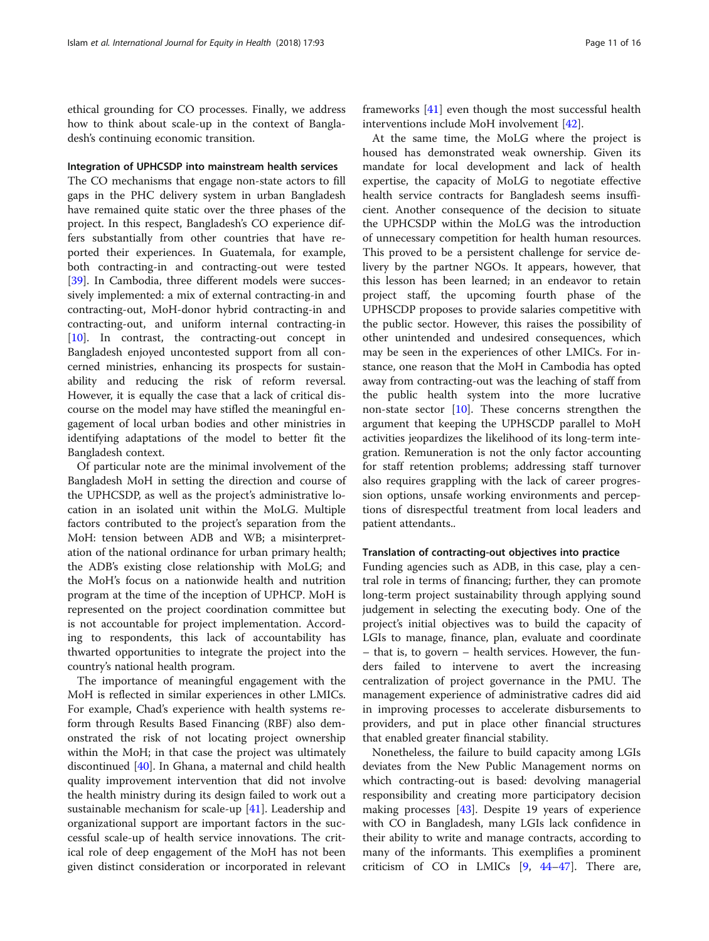ethical grounding for CO processes. Finally, we address how to think about scale-up in the context of Bangladesh's continuing economic transition.

## Integration of UPHCSDP into mainstream health services

The CO mechanisms that engage non-state actors to fill gaps in the PHC delivery system in urban Bangladesh have remained quite static over the three phases of the project. In this respect, Bangladesh's CO experience differs substantially from other countries that have reported their experiences. In Guatemala, for example, both contracting-in and contracting-out were tested [[39\]](#page-15-0). In Cambodia, three different models were successively implemented: a mix of external contracting-in and contracting-out, MoH-donor hybrid contracting-in and contracting-out, and uniform internal contracting-in [[10\]](#page-14-0). In contrast, the contracting-out concept in Bangladesh enjoyed uncontested support from all concerned ministries, enhancing its prospects for sustainability and reducing the risk of reform reversal. However, it is equally the case that a lack of critical discourse on the model may have stifled the meaningful engagement of local urban bodies and other ministries in identifying adaptations of the model to better fit the Bangladesh context.

Of particular note are the minimal involvement of the Bangladesh MoH in setting the direction and course of the UPHCSDP, as well as the project's administrative location in an isolated unit within the MoLG. Multiple factors contributed to the project's separation from the MoH: tension between ADB and WB; a misinterpretation of the national ordinance for urban primary health; the ADB's existing close relationship with MoLG; and the MoH's focus on a nationwide health and nutrition program at the time of the inception of UPHCP. MoH is represented on the project coordination committee but is not accountable for project implementation. According to respondents, this lack of accountability has thwarted opportunities to integrate the project into the country's national health program.

The importance of meaningful engagement with the MoH is reflected in similar experiences in other LMICs. For example, Chad's experience with health systems reform through Results Based Financing (RBF) also demonstrated the risk of not locating project ownership within the MoH; in that case the project was ultimately discontinued [\[40](#page-15-0)]. In Ghana, a maternal and child health quality improvement intervention that did not involve the health ministry during its design failed to work out a sustainable mechanism for scale-up [[41](#page-15-0)]. Leadership and organizational support are important factors in the successful scale-up of health service innovations. The critical role of deep engagement of the MoH has not been given distinct consideration or incorporated in relevant

frameworks [\[41\]](#page-15-0) even though the most successful health interventions include MoH involvement [\[42](#page-15-0)].

At the same time, the MoLG where the project is housed has demonstrated weak ownership. Given its mandate for local development and lack of health expertise, the capacity of MoLG to negotiate effective health service contracts for Bangladesh seems insufficient. Another consequence of the decision to situate the UPHCSDP within the MoLG was the introduction of unnecessary competition for health human resources. This proved to be a persistent challenge for service delivery by the partner NGOs. It appears, however, that this lesson has been learned; in an endeavor to retain project staff, the upcoming fourth phase of the UPHSCDP proposes to provide salaries competitive with the public sector. However, this raises the possibility of other unintended and undesired consequences, which may be seen in the experiences of other LMICs. For instance, one reason that the MoH in Cambodia has opted away from contracting-out was the leaching of staff from the public health system into the more lucrative non-state sector  $[10]$  $[10]$  $[10]$ . These concerns strengthen the argument that keeping the UPHSCDP parallel to MoH activities jeopardizes the likelihood of its long-term integration. Remuneration is not the only factor accounting for staff retention problems; addressing staff turnover also requires grappling with the lack of career progression options, unsafe working environments and perceptions of disrespectful treatment from local leaders and patient attendants..

## Translation of contracting-out objectives into practice

Funding agencies such as ADB, in this case, play a central role in terms of financing; further, they can promote long-term project sustainability through applying sound judgement in selecting the executing body. One of the project's initial objectives was to build the capacity of LGIs to manage, finance, plan, evaluate and coordinate – that is, to govern – health services. However, the funders failed to intervene to avert the increasing centralization of project governance in the PMU. The management experience of administrative cadres did aid in improving processes to accelerate disbursements to providers, and put in place other financial structures that enabled greater financial stability.

Nonetheless, the failure to build capacity among LGIs deviates from the New Public Management norms on which contracting-out is based: devolving managerial responsibility and creating more participatory decision making processes [\[43](#page-15-0)]. Despite 19 years of experience with CO in Bangladesh, many LGIs lack confidence in their ability to write and manage contracts, according to many of the informants. This exemplifies a prominent criticism of CO in LMICs [\[9](#page-14-0), [44](#page-15-0)–[47](#page-15-0)]. There are,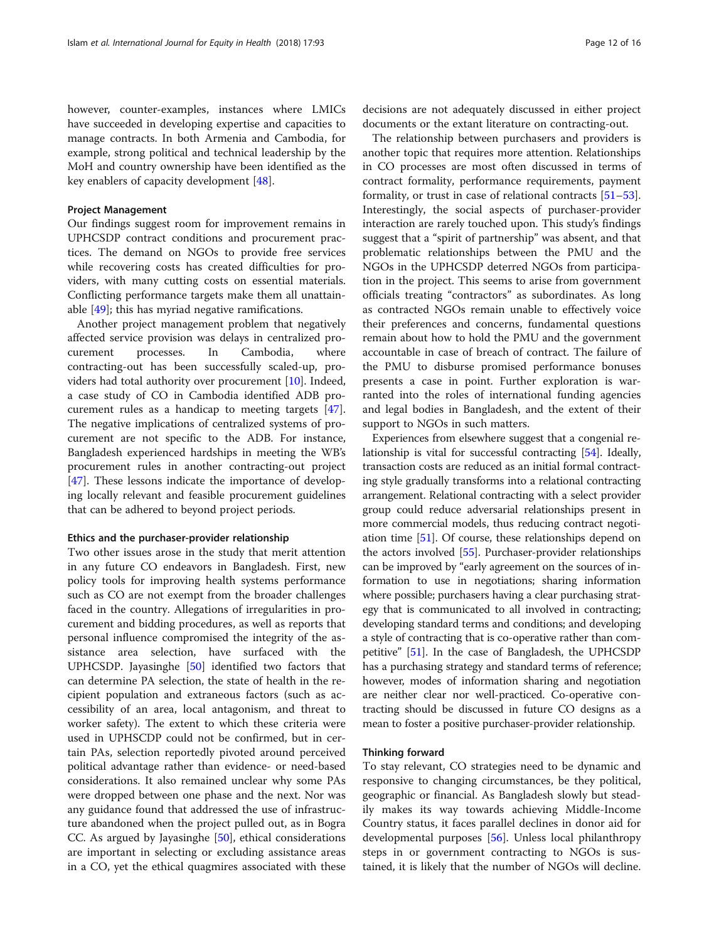however, counter-examples, instances where LMICs have succeeded in developing expertise and capacities to manage contracts. In both Armenia and Cambodia, for example, strong political and technical leadership by the MoH and country ownership have been identified as the key enablers of capacity development [[48](#page-15-0)].

## Project Management

Our findings suggest room for improvement remains in UPHCSDP contract conditions and procurement practices. The demand on NGOs to provide free services while recovering costs has created difficulties for providers, with many cutting costs on essential materials. Conflicting performance targets make them all unattainable  $[49]$  $[49]$ ; this has myriad negative ramifications.

Another project management problem that negatively affected service provision was delays in centralized procurement processes. In Cambodia, where contracting-out has been successfully scaled-up, providers had total authority over procurement [\[10](#page-14-0)]. Indeed, a case study of CO in Cambodia identified ADB procurement rules as a handicap to meeting targets [\[47](#page-15-0)]. The negative implications of centralized systems of procurement are not specific to the ADB. For instance, Bangladesh experienced hardships in meeting the WB's procurement rules in another contracting-out project [[47\]](#page-15-0). These lessons indicate the importance of developing locally relevant and feasible procurement guidelines that can be adhered to beyond project periods.

#### Ethics and the purchaser-provider relationship

Two other issues arose in the study that merit attention in any future CO endeavors in Bangladesh. First, new policy tools for improving health systems performance such as CO are not exempt from the broader challenges faced in the country. Allegations of irregularities in procurement and bidding procedures, as well as reports that personal influence compromised the integrity of the assistance area selection, have surfaced with the UPHCSDP. Jayasinghe [[50](#page-15-0)] identified two factors that can determine PA selection, the state of health in the recipient population and extraneous factors (such as accessibility of an area, local antagonism, and threat to worker safety). The extent to which these criteria were used in UPHSCDP could not be confirmed, but in certain PAs, selection reportedly pivoted around perceived political advantage rather than evidence- or need-based considerations. It also remained unclear why some PAs were dropped between one phase and the next. Nor was any guidance found that addressed the use of infrastructure abandoned when the project pulled out, as in Bogra CC. As argued by Jayasinghe [[50\]](#page-15-0), ethical considerations are important in selecting or excluding assistance areas in a CO, yet the ethical quagmires associated with these decisions are not adequately discussed in either project documents or the extant literature on contracting-out.

The relationship between purchasers and providers is another topic that requires more attention. Relationships in CO processes are most often discussed in terms of contract formality, performance requirements, payment formality, or trust in case of relational contracts [[51](#page-15-0)–[53](#page-15-0)]. Interestingly, the social aspects of purchaser-provider interaction are rarely touched upon. This study's findings suggest that a "spirit of partnership" was absent, and that problematic relationships between the PMU and the NGOs in the UPHCSDP deterred NGOs from participation in the project. This seems to arise from government officials treating "contractors" as subordinates. As long as contracted NGOs remain unable to effectively voice their preferences and concerns, fundamental questions remain about how to hold the PMU and the government accountable in case of breach of contract. The failure of the PMU to disburse promised performance bonuses presents a case in point. Further exploration is warranted into the roles of international funding agencies and legal bodies in Bangladesh, and the extent of their support to NGOs in such matters.

Experiences from elsewhere suggest that a congenial relationship is vital for successful contracting [\[54\]](#page-15-0). Ideally, transaction costs are reduced as an initial formal contracting style gradually transforms into a relational contracting arrangement. Relational contracting with a select provider group could reduce adversarial relationships present in more commercial models, thus reducing contract negotiation time [\[51\]](#page-15-0). Of course, these relationships depend on the actors involved [\[55\]](#page-15-0). Purchaser-provider relationships can be improved by "early agreement on the sources of information to use in negotiations; sharing information where possible; purchasers having a clear purchasing strategy that is communicated to all involved in contracting; developing standard terms and conditions; and developing a style of contracting that is co-operative rather than competitive" [[51](#page-15-0)]. In the case of Bangladesh, the UPHCSDP has a purchasing strategy and standard terms of reference; however, modes of information sharing and negotiation are neither clear nor well-practiced. Co-operative contracting should be discussed in future CO designs as a mean to foster a positive purchaser-provider relationship.

#### Thinking forward

To stay relevant, CO strategies need to be dynamic and responsive to changing circumstances, be they political, geographic or financial. As Bangladesh slowly but steadily makes its way towards achieving Middle-Income Country status, it faces parallel declines in donor aid for developmental purposes [\[56](#page-15-0)]. Unless local philanthropy steps in or government contracting to NGOs is sustained, it is likely that the number of NGOs will decline.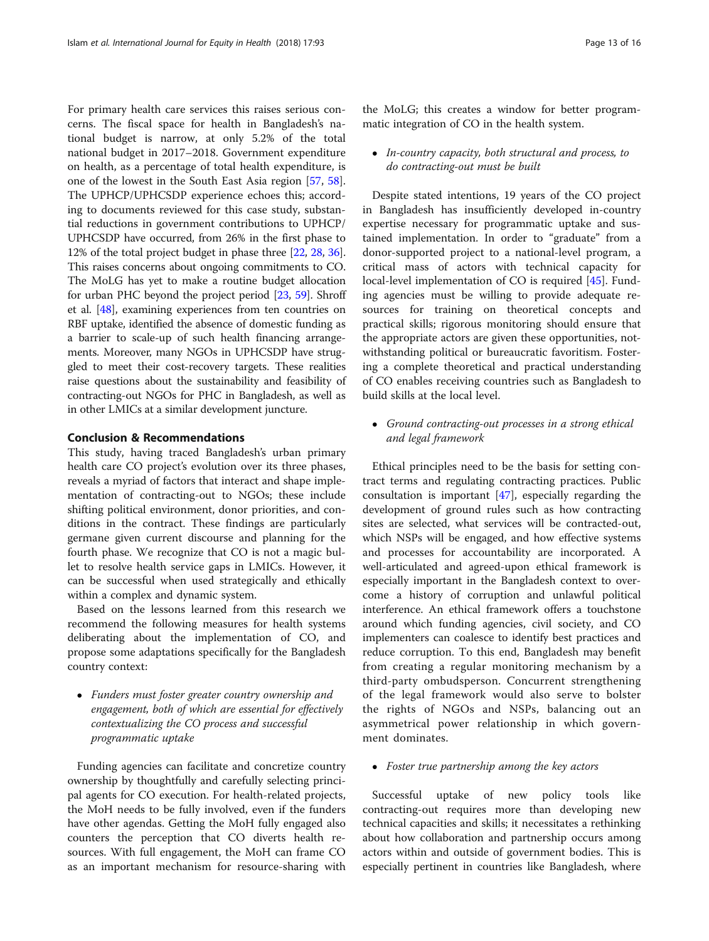For primary health care services this raises serious concerns. The fiscal space for health in Bangladesh's national budget is narrow, at only 5.2% of the total national budget in 2017–2018. Government expenditure on health, as a percentage of total health expenditure, is one of the lowest in the South East Asia region [\[57,](#page-15-0) [58](#page-15-0)]. The UPHCP/UPHCSDP experience echoes this; according to documents reviewed for this case study, substantial reductions in government contributions to UPHCP/ UPHCSDP have occurred, from 26% in the first phase to 12% of the total project budget in phase three [[22](#page-14-0), [28,](#page-14-0) [36](#page-15-0)]. This raises concerns about ongoing commitments to CO. The MoLG has yet to make a routine budget allocation for urban PHC beyond the project period [\[23,](#page-14-0) [59\]](#page-15-0). Shroff et al. [\[48\]](#page-15-0), examining experiences from ten countries on RBF uptake, identified the absence of domestic funding as a barrier to scale-up of such health financing arrangements. Moreover, many NGOs in UPHCSDP have struggled to meet their cost-recovery targets. These realities raise questions about the sustainability and feasibility of contracting-out NGOs for PHC in Bangladesh, as well as in other LMICs at a similar development juncture.

## Conclusion & Recommendations

This study, having traced Bangladesh's urban primary health care CO project's evolution over its three phases, reveals a myriad of factors that interact and shape implementation of contracting-out to NGOs; these include shifting political environment, donor priorities, and conditions in the contract. These findings are particularly germane given current discourse and planning for the fourth phase. We recognize that CO is not a magic bullet to resolve health service gaps in LMICs. However, it can be successful when used strategically and ethically within a complex and dynamic system.

Based on the lessons learned from this research we recommend the following measures for health systems deliberating about the implementation of CO, and propose some adaptations specifically for the Bangladesh country context:

• Funders must foster greater country ownership and engagement, both of which are essential for effectively contextualizing the CO process and successful programmatic uptake

Funding agencies can facilitate and concretize country ownership by thoughtfully and carefully selecting principal agents for CO execution. For health-related projects, the MoH needs to be fully involved, even if the funders have other agendas. Getting the MoH fully engaged also counters the perception that CO diverts health resources. With full engagement, the MoH can frame CO as an important mechanism for resource-sharing with the MoLG; this creates a window for better programmatic integration of CO in the health system.

## • In-country capacity, both structural and process, to do contracting-out must be built

Despite stated intentions, 19 years of the CO project in Bangladesh has insufficiently developed in-country expertise necessary for programmatic uptake and sustained implementation. In order to "graduate" from a donor-supported project to a national-level program, a critical mass of actors with technical capacity for local-level implementation of CO is required [[45](#page-15-0)]. Funding agencies must be willing to provide adequate resources for training on theoretical concepts and practical skills; rigorous monitoring should ensure that the appropriate actors are given these opportunities, notwithstanding political or bureaucratic favoritism. Fostering a complete theoretical and practical understanding of CO enables receiving countries such as Bangladesh to build skills at the local level.

 Ground contracting-out processes in a strong ethical and legal framework

Ethical principles need to be the basis for setting contract terms and regulating contracting practices. Public consultation is important [\[47](#page-15-0)], especially regarding the development of ground rules such as how contracting sites are selected, what services will be contracted-out, which NSPs will be engaged, and how effective systems and processes for accountability are incorporated. A well-articulated and agreed-upon ethical framework is especially important in the Bangladesh context to overcome a history of corruption and unlawful political interference. An ethical framework offers a touchstone around which funding agencies, civil society, and CO implementers can coalesce to identify best practices and reduce corruption. To this end, Bangladesh may benefit from creating a regular monitoring mechanism by a third-party ombudsperson. Concurrent strengthening of the legal framework would also serve to bolster the rights of NGOs and NSPs, balancing out an asymmetrical power relationship in which government dominates.

• Foster true partnership among the key actors

Successful uptake of new policy tools like contracting-out requires more than developing new technical capacities and skills; it necessitates a rethinking about how collaboration and partnership occurs among actors within and outside of government bodies. This is especially pertinent in countries like Bangladesh, where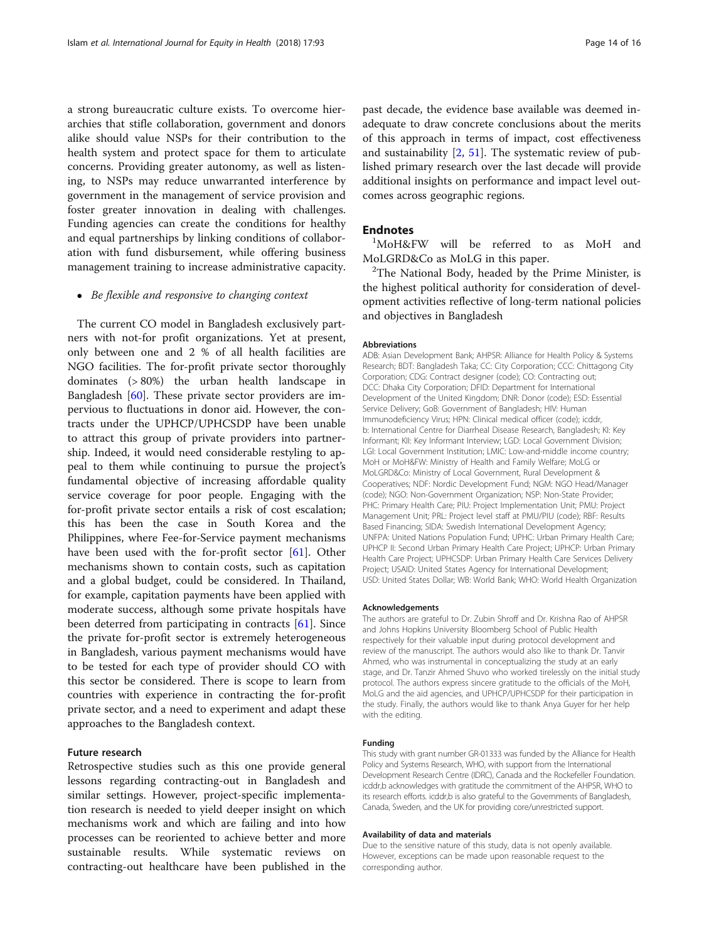a strong bureaucratic culture exists. To overcome hierarchies that stifle collaboration, government and donors alike should value NSPs for their contribution to the health system and protect space for them to articulate concerns. Providing greater autonomy, as well as listening, to NSPs may reduce unwarranted interference by government in the management of service provision and foster greater innovation in dealing with challenges. Funding agencies can create the conditions for healthy and equal partnerships by linking conditions of collaboration with fund disbursement, while offering business management training to increase administrative capacity.

## • Be flexible and responsive to changing context

The current CO model in Bangladesh exclusively partners with not-for profit organizations. Yet at present, only between one and 2 % of all health facilities are NGO facilities. The for-profit private sector thoroughly dominates (> 80%) the urban health landscape in Bangladesh [[60\]](#page-15-0). These private sector providers are impervious to fluctuations in donor aid. However, the contracts under the UPHCP/UPHCSDP have been unable to attract this group of private providers into partnership. Indeed, it would need considerable restyling to appeal to them while continuing to pursue the project's fundamental objective of increasing affordable quality service coverage for poor people. Engaging with the for-profit private sector entails a risk of cost escalation; this has been the case in South Korea and the Philippines, where Fee-for-Service payment mechanisms have been used with the for-profit sector [[61\]](#page-15-0). Other mechanisms shown to contain costs, such as capitation and a global budget, could be considered. In Thailand, for example, capitation payments have been applied with moderate success, although some private hospitals have been deterred from participating in contracts [\[61](#page-15-0)]. Since the private for-profit sector is extremely heterogeneous in Bangladesh, various payment mechanisms would have to be tested for each type of provider should CO with this sector be considered. There is scope to learn from countries with experience in contracting the for-profit private sector, and a need to experiment and adapt these approaches to the Bangladesh context.

## Future research

Retrospective studies such as this one provide general lessons regarding contracting-out in Bangladesh and similar settings. However, project-specific implementation research is needed to yield deeper insight on which mechanisms work and which are failing and into how processes can be reoriented to achieve better and more sustainable results. While systematic reviews on contracting-out healthcare have been published in the

past decade, the evidence base available was deemed inadequate to draw concrete conclusions about the merits of this approach in terms of impact, cost effectiveness and sustainability  $[2, 51]$  $[2, 51]$  $[2, 51]$ . The systematic review of published primary research over the last decade will provide additional insights on performance and impact level outcomes across geographic regions.

## **Endnotes**

MoH&FW will be referred to as MoH and MoLGRD&Co as MoLG in this paper. <sup>2</sup>

 $2$ The National Body, headed by the Prime Minister, is the highest political authority for consideration of development activities reflective of long-term national policies and objectives in Bangladesh

#### Abbreviations

ADB: Asian Development Bank; AHPSR: Alliance for Health Policy & Systems Research; BDT: Bangladesh Taka; CC: City Corporation; CCC: Chittagong City Corporation; CDG: Contract designer (code); CO: Contracting out; DCC: Dhaka City Corporation; DFID: Department for International Development of the United Kingdom; DNR: Donor (code); ESD: Essential Service Delivery; GoB: Government of Bangladesh; HIV: Human Immunodeficiency Virus; HPN: Clinical medical officer (code); icddr, b: International Centre for Diarrheal Disease Research, Bangladesh; KI: Key Informant; KII: Key Informant Interview; LGD: Local Government Division; LGI: Local Government Institution; LMIC: Low-and-middle income country; MoH or MoH&FW: Ministry of Health and Family Welfare; MoLG or MoLGRD&Co: Ministry of Local Government, Rural Development & Cooperatives; NDF: Nordic Development Fund; NGM: NGO Head/Manager (code); NGO: Non-Government Organization; NSP: Non-State Provider; PHC: Primary Health Care; PIU: Project Implementation Unit; PMU: Project Management Unit; PRL: Project level staff at PMU/PIU (code); RBF: Results Based Financing; SIDA: Swedish International Development Agency; UNFPA: United Nations Population Fund; UPHC: Urban Primary Health Care; UPHCP II: Second Urban Primary Health Care Project; UPHCP: Urban Primary Health Care Project; UPHCSDP: Urban Primary Health Care Services Delivery Project; USAID: United States Agency for International Development; USD: United States Dollar; WB: World Bank; WHO: World Health Organization

#### Acknowledgements

The authors are grateful to Dr. Zubin Shroff and Dr. Krishna Rao of AHPSR and Johns Hopkins University Bloomberg School of Public Health respectively for their valuable input during protocol development and review of the manuscript. The authors would also like to thank Dr. Tanvir Ahmed, who was instrumental in conceptualizing the study at an early stage, and Dr. Tanzir Ahmed Shuvo who worked tirelessly on the initial study protocol. The authors express sincere gratitude to the officials of the MoH, MoLG and the aid agencies, and UPHCP/UPHCSDP for their participation in the study. Finally, the authors would like to thank Anya Guyer for her help with the editing.

#### Funding

This study with grant number GR-01333 was funded by the Alliance for Health Policy and Systems Research, WHO, with support from the International Development Research Centre (IDRC), Canada and the Rockefeller Foundation. icddr,b acknowledges with gratitude the commitment of the AHPSR, WHO to its research efforts. icddr,b is also grateful to the Governments of Bangladesh, Canada, Sweden, and the UK for providing core/unrestricted support.

#### Availability of data and materials

Due to the sensitive nature of this study, data is not openly available. However, exceptions can be made upon reasonable request to the corresponding author.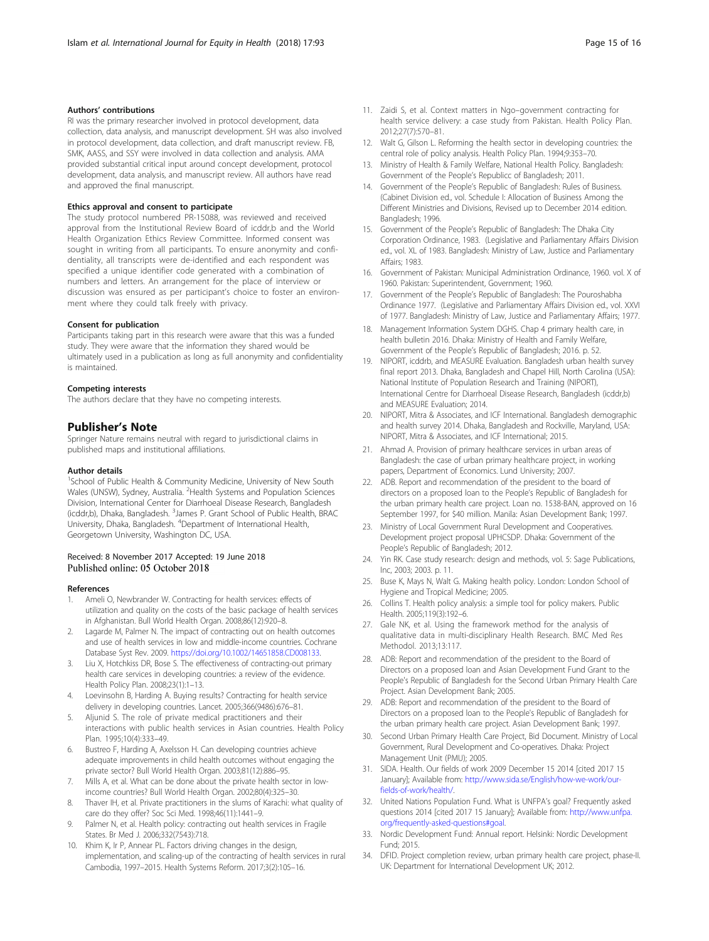#### <span id="page-14-0"></span>Authors' contributions

RI was the primary researcher involved in protocol development, data collection, data analysis, and manuscript development. SH was also involved in protocol development, data collection, and draft manuscript review. FB, SMK, AASS, and SSY were involved in data collection and analysis. AMA provided substantial critical input around concept development, protocol development, data analysis, and manuscript review. All authors have read and approved the final manuscript.

## Ethics approval and consent to participate

The study protocol numbered PR-15088, was reviewed and received approval from the Institutional Review Board of icddr,b and the World Health Organization Ethics Review Committee. Informed consent was sought in writing from all participants. To ensure anonymity and confidentiality, all transcripts were de-identified and each respondent was specified a unique identifier code generated with a combination of numbers and letters. An arrangement for the place of interview or discussion was ensured as per participant's choice to foster an environment where they could talk freely with privacy.

#### Consent for publication

Participants taking part in this research were aware that this was a funded study. They were aware that the information they shared would be ultimately used in a publication as long as full anonymity and confidentiality is maintained.

## Competing interests

The authors declare that they have no competing interests.

#### Publisher's Note

Springer Nature remains neutral with regard to jurisdictional claims in published maps and institutional affiliations.

#### Author details

<sup>1</sup>School of Public Health & Community Medicine, University of New South Wales (UNSW), Sydney, Australia. <sup>2</sup> Health Systems and Population Sciences Division, International Center for Diarrhoeal Disease Research, Bangladesh (icddr,b), Dhaka, Bangladesh. <sup>3</sup> James P. Grant School of Public Health, BRAC University, Dhaka, Bangladesh. <sup>4</sup>Department of International Health, Georgetown University, Washington DC, USA.

## Received: 8 November 2017 Accepted: 19 June 2018 Published online: 05 October 2018

#### References

- Ameli O, Newbrander W. Contracting for health services: effects of utilization and quality on the costs of the basic package of health services in Afghanistan. Bull World Health Organ. 2008;86(12):920–8.
- 2. Lagarde M, Palmer N. The impact of contracting out on health outcomes and use of health services in low and middle-income countries. Cochrane Database Syst Rev. 2009. [https://doi.org/10.1002/14651858.CD008133.](https://doi.org/10.1002/14651858.CD008133)
- 3. Liu X, Hotchkiss DR, Bose S. The effectiveness of contracting-out primary health care services in developing countries: a review of the evidence. Health Policy Plan. 2008;23(1):1–13.
- 4. Loevinsohn B, Harding A. Buying results? Contracting for health service delivery in developing countries. Lancet. 2005;366(9486):676–81.
- 5. Aljunid S. The role of private medical practitioners and their interactions with public health services in Asian countries. Health Policy Plan. 1995;10(4):333–49.
- 6. Bustreo F, Harding A, Axelsson H. Can developing countries achieve adequate improvements in child health outcomes without engaging the private sector? Bull World Health Organ. 2003;81(12):886–95.
- 7. Mills A, et al. What can be done about the private health sector in lowincome countries? Bull World Health Organ. 2002;80(4):325–30.
- 8. Thaver IH, et al. Private practitioners in the slums of Karachi: what quality of care do they offer? Soc Sci Med. 1998;46(11):1441–9.
- Palmer N, et al. Health policy: contracting out health services in Fragile States. Br Med J. 2006;332(7543):718.
- 10. Khim K, Ir P, Annear PL. Factors driving changes in the design, implementation, and scaling-up of the contracting of health services in rural Cambodia, 1997–2015. Health Systems Reform. 2017;3(2):105–16.
- 11. Zaidi S, et al. Context matters in Ngo–government contracting for health service delivery: a case study from Pakistan. Health Policy Plan. 2012;27(7):570–81.
- 12. Walt G, Gilson L. Reforming the health sector in developing countries: the central role of policy analysis. Health Policy Plan. 1994;9:353–70.
- 13. Ministry of Health & Family Welfare, National Health Policy. Bangladesh: Government of the People's Republicc of Bangladesh; 2011.
- 14. Government of the People's Republic of Bangladesh: Rules of Business. (Cabinet Division ed., vol. Schedule I: Allocation of Business Among the Different Ministries and Divisions, Revised up to December 2014 edition. Bangladesh; 1996.
- 15. Government of the People's Republic of Bangladesh: The Dhaka City Corporation Ordinance, 1983. (Legislative and Parliamentary Affairs Division ed., vol. XL of 1983. Bangladesh: Ministry of Law, Justice and Parliamentary Affairs; 1983.
- 16. Government of Pakistan: Municipal Administration Ordinance, 1960. vol. X of 1960. Pakistan: Superintendent, Government; 1960.
- 17. Government of the People's Republic of Bangladesh: The Pouroshabha Ordinance 1977. (Legislative and Parliamentary Affairs Division ed., vol. XXVI of 1977. Bangladesh: Ministry of Law, Justice and Parliamentary Affairs; 1977.
- 18. Management Information System DGHS. Chap 4 primary health care, in health bulletin 2016. Dhaka: Ministry of Health and Family Welfare, Government of the People's Republic of Bangladesh; 2016. p. 52.
- 19. NIPORT, icddrb, and MEASURE Evaluation. Bangladesh urban health survey final report 2013. Dhaka, Bangladesh and Chapel Hill, North Carolina (USA): National Institute of Population Research and Training (NIPORT), International Centre for Diarrhoeal Disease Research, Bangladesh (icddr,b) and MEASURE Evaluation; 2014.
- 20. NIPORT, Mitra & Associates, and ICF International. Bangladesh demographic and health survey 2014. Dhaka, Bangladesh and Rockville, Maryland, USA: NIPORT, Mitra & Associates, and ICF International; 2015.
- 21. Ahmad A. Provision of primary healthcare services in urban areas of Bangladesh: the case of urban primary healthcare project, in working papers, Department of Economics. Lund University; 2007.
- 22. ADB. Report and recommendation of the president to the board of directors on a proposed loan to the People's Republic of Bangladesh for the urban primary health care project. Loan no. 1538-BAN, approved on 16 September 1997, for \$40 million. Manila: Asian Development Bank; 1997.
- 23. Ministry of Local Government Rural Development and Cooperatives. Development project proposal UPHCSDP. Dhaka: Government of the People's Republic of Bangladesh; 2012.
- 24. Yin RK. Case study research: design and methods, vol. 5: Sage Publications, Inc, 2003; 2003. p. 11.
- 25. Buse K, Mays N, Walt G. Making health policy. London: London School of Hygiene and Tropical Medicine; 2005.
- 26. Collins T. Health policy analysis: a simple tool for policy makers. Public Health. 2005;119(3):192–6.
- 27. Gale NK, et al. Using the framework method for the analysis of qualitative data in multi-disciplinary Health Research. BMC Med Res Methodol. 2013;13:117.
- 28. ADB: Report and recommendation of the president to the Board of Directors on a proposed loan and Asian Development Fund Grant to the People's Republic of Bangladesh for the Second Urban Primary Health Care Project. Asian Development Bank; 2005.
- 29. ADB: Report and recommendation of the president to the Board of Directors on a proposed loan to the People's Republic of Bangladesh for the urban primary health care project. Asian Development Bank; 1997.
- 30. Second Urban Primary Health Care Project, Bid Document. Ministry of Local Government, Rural Development and Co-operatives. Dhaka: Project Management Unit (PMU); 2005.
- 31. SIDA. Health. Our fields of work 2009 December 15 2014 [cited 2017 15 January]; Available from: [http://www.sida.se/English/how-we-work/our](http://www.sida.se/English/how-we-work/our-fields-of-work/health/)[fields-of-work/health/.](http://www.sida.se/English/how-we-work/our-fields-of-work/health/)
- 32. United Nations Population Fund. What is UNFPA's goal? Frequently asked questions 2014 [cited 2017 15 January]; Available from: [http://www.unfpa.](http://www.unfpa.org/frequently-asked-questions#goal) [org/frequently-asked-questions#goal.](http://www.unfpa.org/frequently-asked-questions#goal)
- 33. Nordic Development Fund: Annual report. Helsinki: Nordic Development Fund; 2015.
- 34. DFID. Project completion review, urban primary health care project, phase-II. UK: Department for International Development UK; 2012.